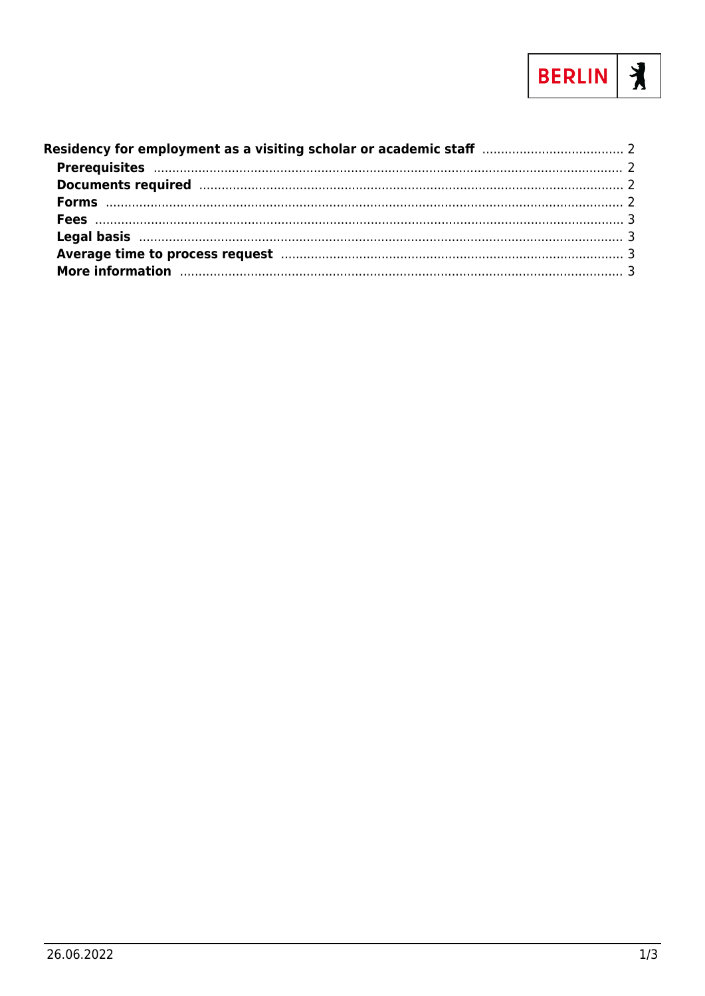

| More information manufactured and the contract of the contract of the contract of the contract of the contract of the contract of the contract of the contract of the contract of the contract of the contract of the contract |  |
|--------------------------------------------------------------------------------------------------------------------------------------------------------------------------------------------------------------------------------|--|
|                                                                                                                                                                                                                                |  |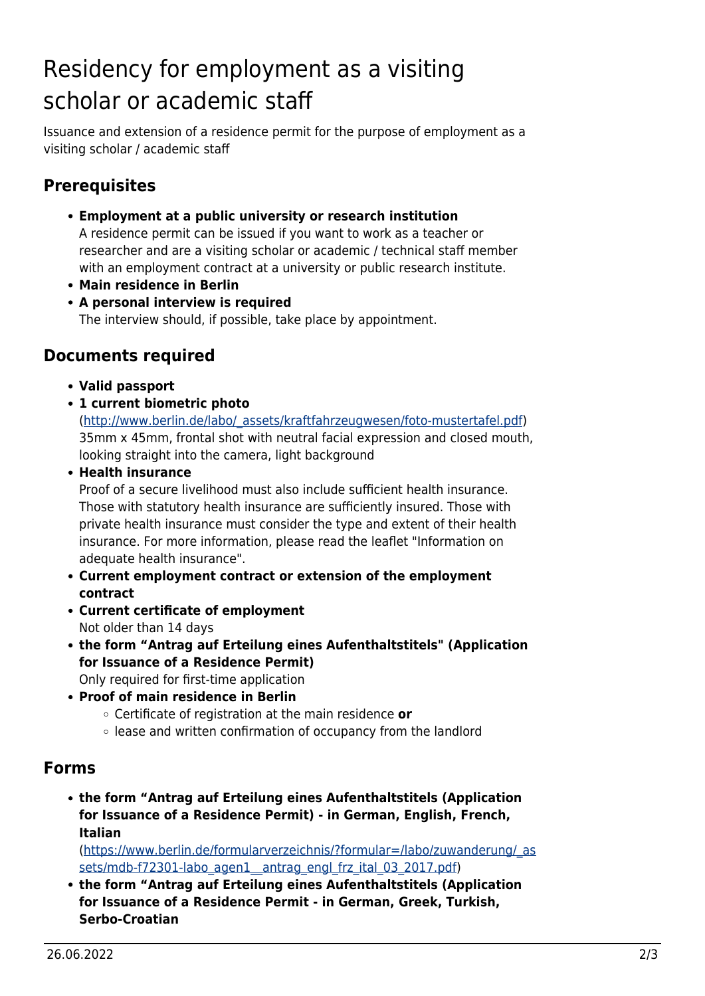# <span id="page-1-0"></span>Residency for employment as a visiting scholar or academic staff

Issuance and extension of a residence permit for the purpose of employment as a visiting scholar / academic staff

## <span id="page-1-1"></span>**Prerequisites**

**Employment at a public university or research institution**

A residence permit can be issued if you want to work as a teacher or researcher and are a visiting scholar or academic / technical staff member with an employment contract at a university or public research institute.

- **Main residence in Berlin**
- **A personal interview is required**

The interview should, if possible, take place by appointment.

#### <span id="page-1-2"></span>**Documents required**

- **Valid passport**
- **1 current biometric photo**

([http://www.berlin.de/labo/\\_assets/kraftfahrzeugwesen/foto-mustertafel.pdf](http://www.berlin.de/labo/_assets/kraftfahrzeugwesen/foto-mustertafel.pdf)) 35mm x 45mm, frontal shot with neutral facial expression and closed mouth, looking straight into the camera, light background

**Health insurance**

Proof of a secure livelihood must also include sufficient health insurance. Those with statutory health insurance are sufficiently insured. Those with private health insurance must consider the type and extent of their health insurance. For more information, please read the leaflet "Information on adequate health insurance".

- **Current employment contract or extension of the employment contract**
- **Current certificate of employment** Not older than 14 days
- **the form "Antrag auf Erteilung eines Aufenthaltstitels" (Application for Issuance of a Residence Permit)**

Only required for first-time application

- **Proof of main residence in Berlin**
	- Certificate of registration at the main residence **or**
	- lease and written confirmation of occupancy from the landlord

#### <span id="page-1-3"></span>**Forms**

**the form "Antrag auf Erteilung eines Aufenthaltstitels (Application for Issuance of a Residence Permit) - in German, English, French, Italian**

([https://www.berlin.de/formularverzeichnis/?formular=/labo/zuwanderung/\\_as](https://www.berlin.de/formularverzeichnis/?formular=/labo/zuwanderung/_assets/mdb-f72301-labo_agen1__antrag_engl_frz_ital_03_2017.pdf) sets/mdb-f72301-labo\_agen1\_antrag\_engl\_frz\_ital\_03\_2017.pdf)

**the form "Antrag auf Erteilung eines Aufenthaltstitels (Application for Issuance of a Residence Permit - in German, Greek, Turkish, Serbo-Croatian**